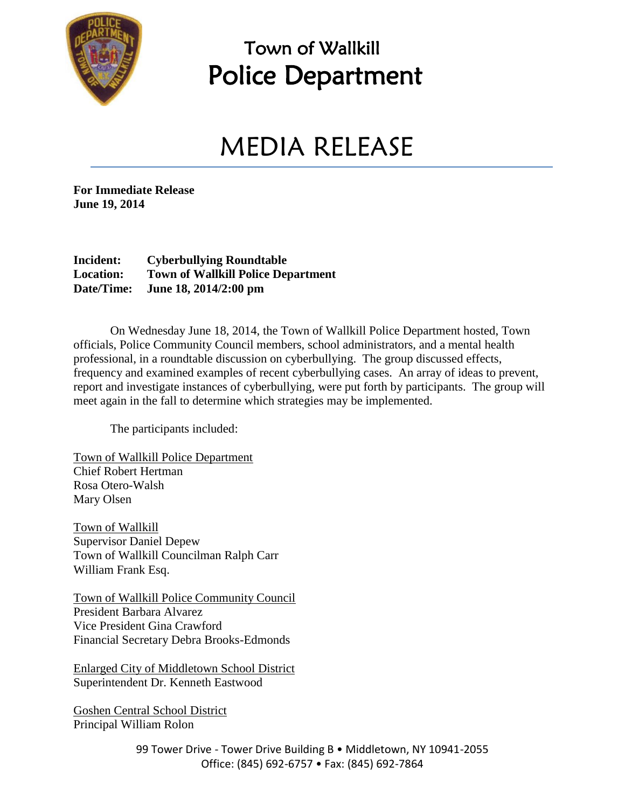

### Town of Wallkill Police Department

## MEDIA RELEASE

**For Immediate Release June 19, 2014**

#### **Incident: Cyberbullying Roundtable Location: Town of Wallkill Police Department Date/Time: June 18, 2014/2:00 pm**

On Wednesday June 18, 2014, the Town of Wallkill Police Department hosted, Town officials, Police Community Council members, school administrators, and a mental health professional, in a roundtable discussion on cyberbullying. The group discussed effects, frequency and examined examples of recent cyberbullying cases. An array of ideas to prevent, report and investigate instances of cyberbullying, were put forth by participants. The group will meet again in the fall to determine which strategies may be implemented.

The participants included:

Town of Wallkill Police Department Chief Robert Hertman Rosa Otero-Walsh Mary Olsen

Town of Wallkill Supervisor Daniel Depew Town of Wallkill Councilman Ralph Carr William Frank Esq.

Town of Wallkill Police Community Council President Barbara Alvarez Vice President Gina Crawford Financial Secretary Debra Brooks-Edmonds

Enlarged City of Middletown School District Superintendent Dr. Kenneth Eastwood

Goshen Central School District Principal William Rolon

> 99 Tower Drive - Tower Drive Building B · Middletown, NY 10941-2055 Office: (845) 692-6757 • Fax: (845) 692-7864